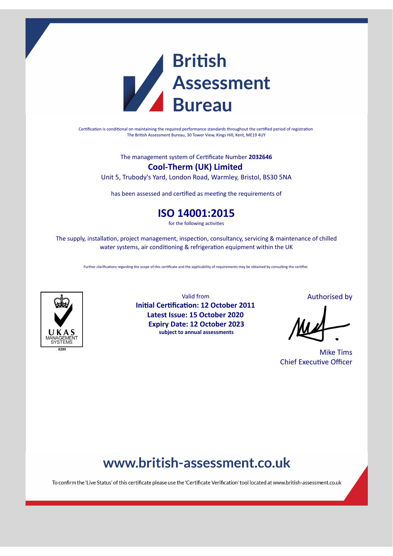

Certification is conditional on maintaining the required performance standards throughout the certified period of registration The British Assessment Bureau, 30 Tower View, Kings Hill, Kent, ME19 4UY

The management system of Cerficate Number **2032646**

### **Cool-Therm (UK) Limited**

Unit 5, Trubody's Yard, London Road, Warmley, Bristol, BS30 5NA

has been assessed and certified as meeting the requirements of

## **ISO 14001:2015**

for the following activities

The supply, installation, project management, inspection, consultancy, servicing & maintenance of chilled water systems, air conditioning & refrigeration equipment within the UK

Further clarifications regarding the scope of this certificate and the applicability of requirements may be obtained by consulting the certifier.



Valid from **Initial Certification: 12 October 2011 Latest Issue: 15 October 2020 Expiry Date: 12 October 2023 subject to annual assessments**

Authorised by

Mike Tims Chief Executive Officer

# www.british-assessment.co.uk

To confirm the 'Live Status' of this certificate please use the 'Certificate Verification' tool located at www.british-assessment.co.uk